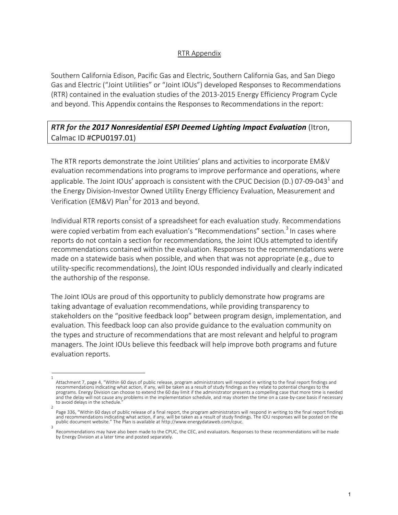## RTR Appendix

Southern California Edison, Pacific Gas and Electric, Southern California Gas, and San Diego Gas and Electric ("Joint Utilities" or "Joint IOUs") developed Responses to Recommendations (RTR) contained in the evaluation studies of the 2013-2015 Energy Efficiency Program Cycle and beyond. This Appendix contains the Responses to Recommendations in the report:

## *RTR for the 2017 Nonresidential ESPI Deemed Lighting Impact Evaluation* (Itron, Calmac ID #CPU0197.01)

The RTR reports demonstrate the Joint Utilities' plans and activities to incorporate EM&V evaluation recommendations into programs to improve performance and operations, where applicable. The Joint IOUs' approach is consistent with the CPUC Decision (D.) 07-09-043<sup>1</sup> and the Energy Division-Investor Owned Utility Energy Efficiency Evaluation, Measurement and Verification (EM&V) Plan<sup>2</sup> for 2013 and beyond.

Individual RTR reports consist of a spreadsheet for each evaluation study. Recommendations were copied verbatim from each evaluation's "Recommendations" section.<sup>3</sup> In cases where reports do not contain a section for recommendations, the Joint IOUs attempted to identify recommendations contained within the evaluation. Responses to the recommendations were made on a statewide basis when possible, and when that was not appropriate (e.g., due to utility-specific recommendations), the Joint IOUs responded individually and clearly indicated the authorship of the response.

The Joint IOUs are proud of this opportunity to publicly demonstrate how programs are taking advantage of evaluation recommendations, while providing transparency to stakeholders on the "positive feedback loop" between program design, implementation, and evaluation. This feedback loop can also provide guidance to the evaluation community on the types and structure of recommendations that are most relevant and helpful to program managers. The Joint IOUs believe this feedback will help improve both programs and future evaluation reports.

<sup>1</sup>  Attachment 7, page 4, "Within 60 days of public release, program administrators will respond in writing to the final report findings and recommendations indicating what action, if any, will be taken as a result of study findings as they relate to potential changes to the programs. Energy Division can choose to extend the 60 day limit if the administrator presents a compelling case that more time is needed and the delay will not cause any problems in the implementation schedule, and may shorten the time on a case-by-case basis if necessary to avoid delays in the schedule.

<sup>2</sup>  Page 336, "Within 60 days of public release of a final report, the program administrators will respond in writing to the final report findings and recommendations indicating what action, if any, will be taken as a result of study findings. The IOU responses will be posted on the public document website." The Plan is available at http://www.energydataweb.com/cpuc. 3

Recommendations may have also been made to the CPUC, the CEC, and evaluators. Responses to these recommendations will be made by Energy Division at a later time and posted separately.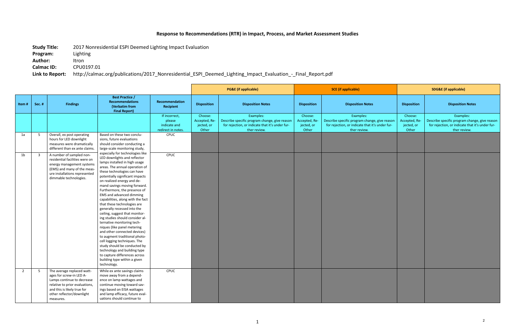## **Response to Recommendations (RTR) in Impact, Process, and Market Assessment Studies**

**Study Title:** 2017 Nonresidential ESPI Deemed Lighting Impact Evaluation

**Program:** Lighting

**Author:** Itron

**Calmac ID:** CPU0197.01

**Link to Report:** http://calmac.org/publications/2017\_Nonresidential\_ESPI\_Deemed\_Lighting\_Impact\_Evaluation\_-\_Final\_Report.pdf

|       |        |                                                                                                                                                                                                 |                                                                                                                                                                                                                                                                                                                                                                                                                                                                                                                                                                                                                                                                                                                                                                                                                              |                                                               | <b>PG&amp;E</b> (if applicable)                 |                                                                                                                               |                                                 | <b>SCE</b> (if applicable)                                                                                                    |                                                 | <b>SDG&amp;E</b> (if applicable)                                                                                              |  |
|-------|--------|-------------------------------------------------------------------------------------------------------------------------------------------------------------------------------------------------|------------------------------------------------------------------------------------------------------------------------------------------------------------------------------------------------------------------------------------------------------------------------------------------------------------------------------------------------------------------------------------------------------------------------------------------------------------------------------------------------------------------------------------------------------------------------------------------------------------------------------------------------------------------------------------------------------------------------------------------------------------------------------------------------------------------------------|---------------------------------------------------------------|-------------------------------------------------|-------------------------------------------------------------------------------------------------------------------------------|-------------------------------------------------|-------------------------------------------------------------------------------------------------------------------------------|-------------------------------------------------|-------------------------------------------------------------------------------------------------------------------------------|--|
| Item# | Sec. # | <b>Findings</b>                                                                                                                                                                                 | <b>Best Practice /</b><br><b>Recommendations</b><br>(Verbatim from<br><b>Final Report)</b>                                                                                                                                                                                                                                                                                                                                                                                                                                                                                                                                                                                                                                                                                                                                   | Recommendation<br>Recipient                                   | <b>Disposition</b>                              | <b>Disposition Notes</b>                                                                                                      | <b>Disposition</b>                              | <b>Disposition Notes</b>                                                                                                      | <b>Disposition</b>                              | <b>Disposition Notes</b>                                                                                                      |  |
|       |        |                                                                                                                                                                                                 |                                                                                                                                                                                                                                                                                                                                                                                                                                                                                                                                                                                                                                                                                                                                                                                                                              | If incorrect,<br>please<br>indicate and<br>redirect in notes. | Choose:<br>Accepted, Re-<br>jected, or<br>Other | Examples:<br>Describe specific program change, give reason<br>for rejection, or indicate that it's under fur-<br>ther review. | Choose:<br>Accepted, Re-<br>jected, or<br>Other | Examples:<br>Describe specific program change, give reason<br>for rejection, or indicate that it's under fur-<br>ther review. | Choose:<br>Accepted, Re-<br>jected, or<br>Other | Examples:<br>Describe specific program change, give reason<br>for rejection, or indicate that it's under fur-<br>ther review. |  |
| 1a    | -5     | Overall, ex post operating<br>hours for LED downlight<br>measures were dramatically<br>different than ex ante claims                                                                            | Based on these two conclu-<br>sions, future evaluations<br>should consider conducting a<br>large-scale monitoring study,                                                                                                                                                                                                                                                                                                                                                                                                                                                                                                                                                                                                                                                                                                     | CPUC                                                          |                                                 |                                                                                                                               |                                                 |                                                                                                                               |                                                 |                                                                                                                               |  |
| 1b    | -3     | A number of sampled non-<br>residential facilities were on<br>energy management systems<br>(EMS) and many of the meas-<br>ure installations represented<br>dimmable technologies.               | especially for technologies like<br>LED downlights and reflector<br>lamps installed in high usage<br>areas. The annual operation of<br>these technologies can have<br>potentially significant impacts<br>on realized energy and de-<br>mand savings moving forward.<br>Furthermore, the presence of<br><b>EMS</b> and advanced dimming<br>capabilities, along with the fact<br>that these technologies are<br>generally recessed into the<br>ceiling, suggest that monitor-<br>ing studies should consider al-<br>ternative monitoring tech-<br>niques (like panel metering<br>and other connected devices)<br>to augment traditional photo-<br>cell logging techniques. The<br>study should be conducted by<br>technology and building type<br>to capture differences across<br>building type within a given<br>technology. | CPUC                                                          |                                                 |                                                                                                                               |                                                 |                                                                                                                               |                                                 |                                                                                                                               |  |
| 2     | -5     | The average replaced watt-<br>ages for screw-in LED A-<br>Lamps continue to decrease<br>relative to prior evaluations,<br>and this is likely true for<br>other reflector/downlight<br>measures. | While ex ante savings claims<br>move away from a depend-<br>ence on lamp wattages and<br>continue moving toward sav-<br>ings based on EISA wattages<br>and lamp efficacy, future eval-<br>uations should continue to                                                                                                                                                                                                                                                                                                                                                                                                                                                                                                                                                                                                         | CPUC                                                          |                                                 |                                                                                                                               |                                                 |                                                                                                                               |                                                 |                                                                                                                               |  |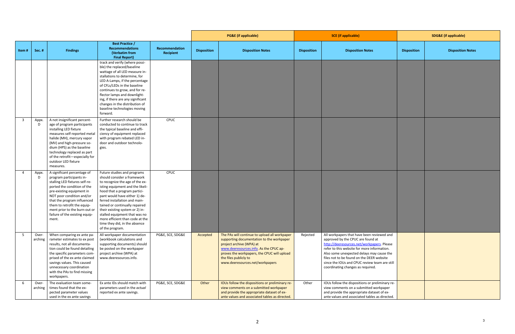|                         |                  |                                                                                                                                                                                                                                                                                                                              |                                                                                                                                                                                                                                                                                                                                                                                                                                  |                             | <b>PG&amp;E</b> (if applicable) |                                                                                                                                                                                                                                                                             | <b>SCE</b> (if applicable) |                                                                                                                                                                                                                                                                                                                                                              | <b>SDG&amp;E</b> (if applicable) |                          |
|-------------------------|------------------|------------------------------------------------------------------------------------------------------------------------------------------------------------------------------------------------------------------------------------------------------------------------------------------------------------------------------|----------------------------------------------------------------------------------------------------------------------------------------------------------------------------------------------------------------------------------------------------------------------------------------------------------------------------------------------------------------------------------------------------------------------------------|-----------------------------|---------------------------------|-----------------------------------------------------------------------------------------------------------------------------------------------------------------------------------------------------------------------------------------------------------------------------|----------------------------|--------------------------------------------------------------------------------------------------------------------------------------------------------------------------------------------------------------------------------------------------------------------------------------------------------------------------------------------------------------|----------------------------------|--------------------------|
| Item#                   | Sec.#            | <b>Findings</b>                                                                                                                                                                                                                                                                                                              | <b>Best Practice /</b><br><b>Recommendations</b><br>(Verbatim from<br><b>Final Report)</b>                                                                                                                                                                                                                                                                                                                                       | Recommendation<br>Recipient | <b>Disposition</b>              | <b>Disposition Notes</b>                                                                                                                                                                                                                                                    | <b>Disposition</b>         | <b>Disposition Notes</b>                                                                                                                                                                                                                                                                                                                                     | <b>Disposition</b>               | <b>Disposition Notes</b> |
|                         |                  |                                                                                                                                                                                                                                                                                                                              | track and verify (where possi-<br>ble) the replaced/baseline<br>wattage of all LED measure in-<br>stallations to determine, for<br>LED A-Lamps, if the percentage<br>of CFLs/LEDs in the baseline<br>continues to grow, and for re-<br>flector lamps and downlight-<br>ing, if there are any significant<br>changes in the distribution of<br>baseline technologies moving<br>forward.                                           |                             |                                 |                                                                                                                                                                                                                                                                             |                            |                                                                                                                                                                                                                                                                                                                                                              |                                  |                          |
| $\overline{\mathbf{3}}$ | Appx.<br>D       | A not insignificant percent-<br>age of program participants<br>installing LED fixture<br>measures self-reported metal<br>halide (MH), mercury vapor<br>(MV) and high-pressure so-<br>dium (HPS) as the baseline<br>technology replaced as part<br>of the retrofit-especially for<br>outdoor LED fixture<br>measures.         | Further research should be<br>conducted to continue to track<br>the typical baseline and effi-<br>ciency of equipment replaced<br>with program rebated LED in-<br>door and outdoor technolo-<br>gies.                                                                                                                                                                                                                            | CPUC                        |                                 |                                                                                                                                                                                                                                                                             |                            |                                                                                                                                                                                                                                                                                                                                                              |                                  |                          |
| $\overline{4}$          | Appx.<br>D       | A significant percentage of<br>program participants in-<br>stalling LED fixtures self-re-<br>ported the condition of the<br>pre-existing equipment in<br>NOT poor condition and/or<br>that the program influenced<br>them to retrofit the equip-<br>ment prior to the burn-out or<br>failure of the existing equip-<br>ment. | Future studies and programs<br>should consider a framework<br>to recognize the age of the ex-<br>isting equipment and the likeli-<br>hood that a program partici-<br>pant would have either 1) de-<br>ferred installation and main-<br>tained or continually repaired<br>their existing system or 2) in-<br>stalled equipment that was no<br>more efficient than code at the<br>time they did, in the absence<br>of the program. | CPUC                        |                                 |                                                                                                                                                                                                                                                                             |                            |                                                                                                                                                                                                                                                                                                                                                              |                                  |                          |
| 5                       | Over-<br>arching | When comparing ex ante pa-<br>rameter estimates to ex post<br>results, not all documenta-<br>tion could be found detailing<br>the specific parameters com-<br>prised of the ex ante claimed<br>savings values. This caused<br>unnecessary coordination<br>with the PAs to find missing<br>workpapers.                        | All workpaper documentation<br>(workbook calculations and<br>supporting documents) should<br>be posted on the workpaper<br>project archive (WPA) at<br>www.deeresources.info.                                                                                                                                                                                                                                                    | PG&E, SCE, SDG&E            | Accepted                        | The PAs will continue to upload all workpaper<br>supporting documentation to the workpaper<br>project archive (WPA) at<br>www.deeresources.info. As the CPUC ap-<br>proves the workpapers, the CPUC will upload<br>the files publicly to<br>www.deeresources.net/workpapers | Rejected                   | All workpapers that have been reviewed and<br>approved by the CPUC are found at<br>http://deeresources.net/workpapers. Please<br>refer to this website for more information.<br>Also some unexpected delays may cause the<br>files not to be found on the DEER website<br>since the IOUs and CPUC review team are still<br>coordinating changes as required. |                                  |                          |
| 6                       | Over-            | The evaluation team some-<br>arching   times found that the ex-<br>pected parameter values<br>used in the ex ante savings                                                                                                                                                                                                    | Ex ante IDs should match with<br>parameters used in the actual<br>reported ex ante savings.                                                                                                                                                                                                                                                                                                                                      | PG&E, SCE, SDG&E            | Other                           | IOUs follow the dispositions or preliminary re-<br>view comments on a submitted workpaper<br>and provide the appropriate dataset of ex-<br>ante values and associated tables as directed.                                                                                   | Other                      | IOUs follow the dispositions or preliminary re-<br>view comments on a submitted workpaper<br>and provide the appropriate dataset of ex-<br>ante values and associated tables as directed.                                                                                                                                                                    |                                  |                          |